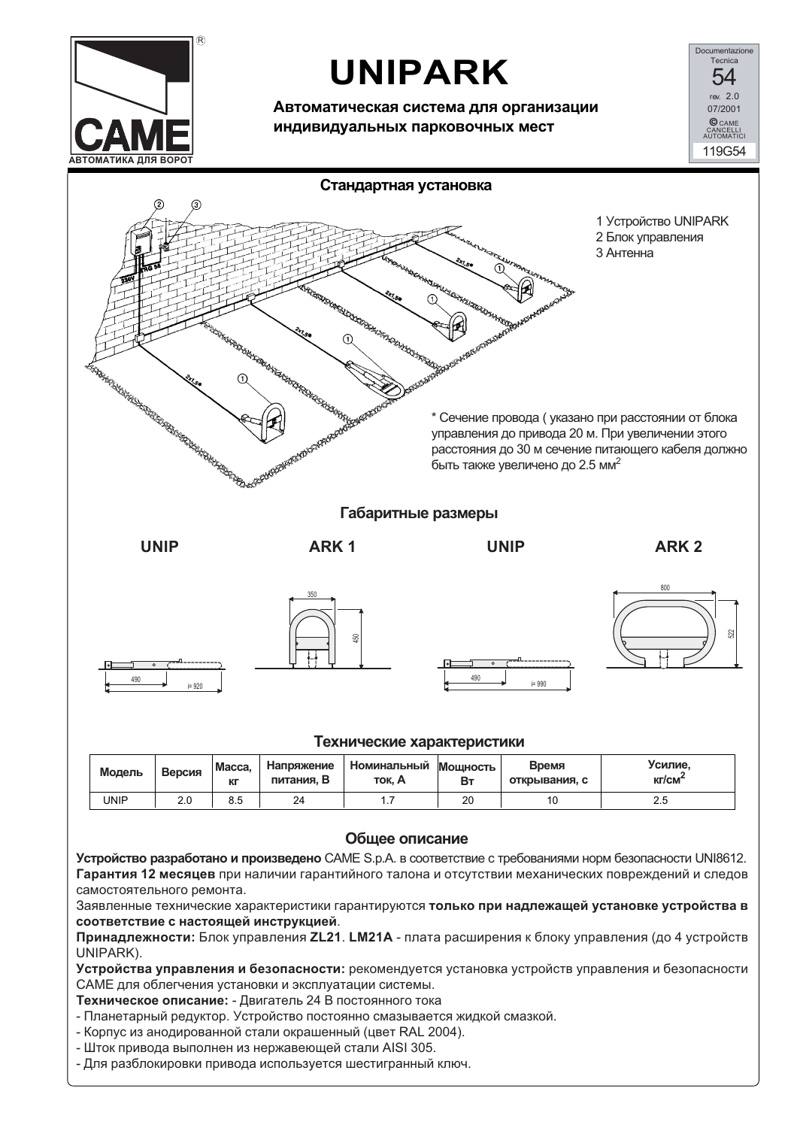

## **UNIPARK**

Автоматическая система для организации индивидуальных парковочных мест

Documentazione 54 rev  $20$ 07/2001 **C** CAME<br>CANCELLI<br>AUTOMATICI 119G54



Принадлежности: Блок управления ZL21. LM21A - плата расширения к блоку управления (до 4 устройств UNIPARK).

Устройства управления и безопасности: рекомендуется установка устройств управления и безопасности САМЕ для облегчения установки и эксплуатации системы.

Техническое описание: - Двигатель 24 В постоянного тока

- Планетарный редуктор. Устройство постоянно смазывается жидкой смазкой.
- Корпус из анодированной стали окрашенный (цвет RAL 2004).
- Шток привода выполнен из нержавеющей стали AISI 305.
- Для разблокировки привода используется шестигранный ключ.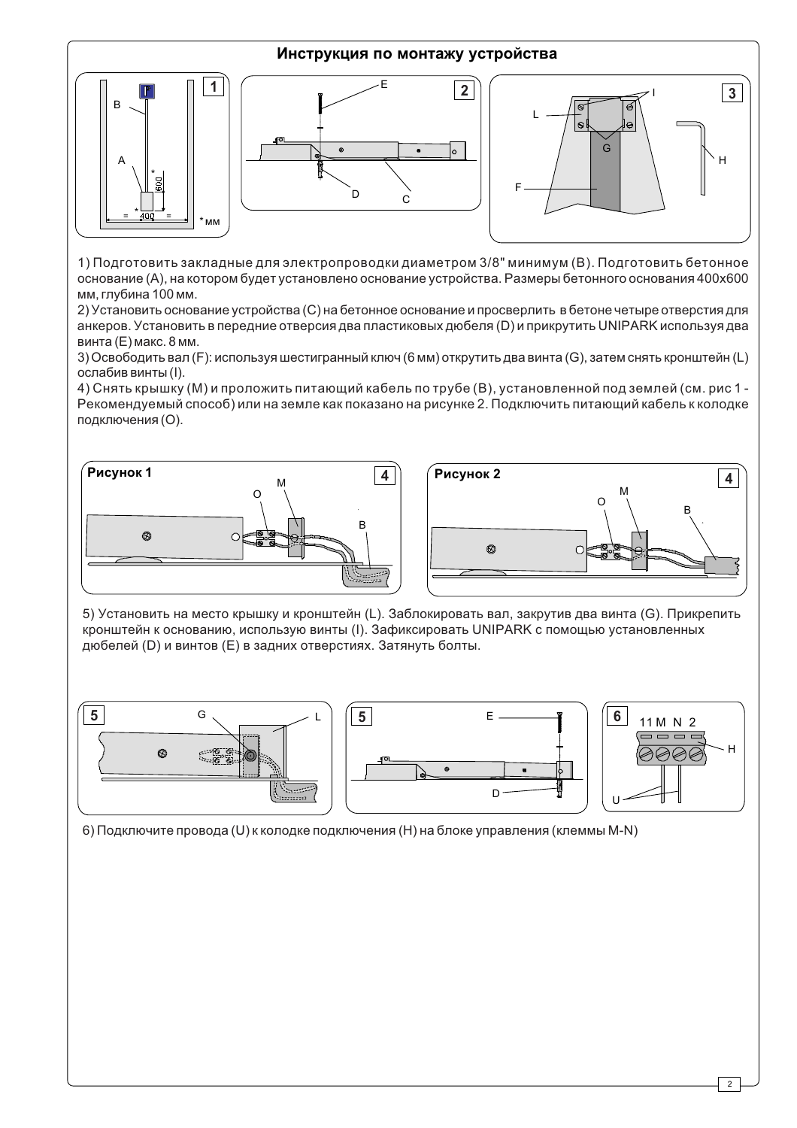

1) Подготовить закладные для электропроводки диаметром 3/8" минимум (В). Подготовить бетонное основание (А), на котором будет установлено основание устройства. Размеры бетонного основания 400х600 мм. глубина 100 мм.

2) Установить основание устройства (С) на бетонное основание и просверлить в бетоне четыре отверстия для анкеров. Установить в передние отверсия два пластиковых дюбеля (D) и прикрутить UNIPARK используя два винта (Е) макс. 8 мм.

3) Освободить вал (F): используя шестигранный ключ (6 мм) открутить два винта (G), затем снять кронштейн (L) ослабив винты (I).

4) Снять крышку (М) и проложить питающий кабель по трубе (В), установленной под землей (см. рис 1 -Рекомендуемый способ) или на земле как показано на рисунке 2. Подключить питающий кабель к колодке подключения (О).





5) Установить на место крышку и кронштейн (L). Заблокировать вал, закрутив два винта (G). Прикрепить кронштейн к основанию, использую винты (I). Зафиксировать UNIPARK с помощью установленных дюбелей (D) и винтов (E) в задних отверстиях. Затянуть болты.



6) Подключите провода (U) к колодке подключения (H) на блоке управления (клеммы M-N)

 $\overline{2}$